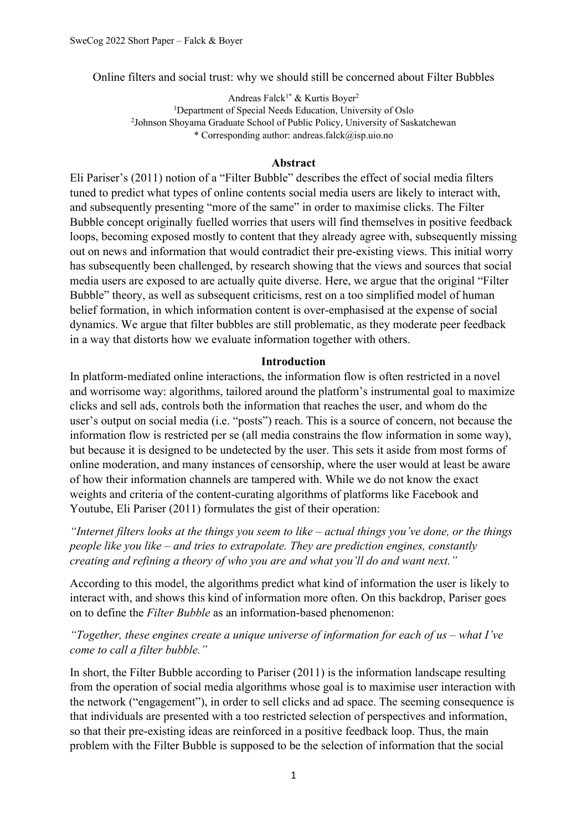Online filters and social trust: why we should still be concerned about Filter Bubbles

Andreas Falck<sup>1\*</sup> & Kurtis Boyer<sup>2</sup> <sup>1</sup>Department of Special Needs Education, University of Oslo <sup>2</sup>Johnson Shoyama Graduate School of Public Policy, University of Saskatchewan \* Corresponding author: andreas.falck@isp.uio.no

## **Abstract**

Eli Pariser's (2011) notion of a "Filter Bubble" describes the effect of social media filters tuned to predict what types of online contents social media users are likely to interact with, and subsequently presenting "more of the same" in order to maximise clicks. The Filter Bubble concept originally fuelled worries that users will find themselves in positive feedback loops, becoming exposed mostly to content that they already agree with, subsequently missing out on news and information that would contradict their pre-existing views. This initial worry has subsequently been challenged, by research showing that the views and sources that social media users are exposed to are actually quite diverse. Here, we argue that the original "Filter Bubble" theory, as well as subsequent criticisms, rest on a too simplified model of human belief formation, in which information content is over-emphasised at the expense of social dynamics. We argue that filter bubbles are still problematic, as they moderate peer feedback in a way that distorts how we evaluate information together with others.

## **Introduction**

In platform-mediated online interactions, the information flow is often restricted in a novel and worrisome way: algorithms, tailored around the platform's instrumental goal to maximize clicks and sell ads, controls both the information that reaches the user, and whom do the user's output on social media (i.e. "posts") reach. This is a source of concern, not because the information flow is restricted per se (all media constrains the flow information in some way), but because it is designed to be undetected by the user. This sets it aside from most forms of online moderation, and many instances of censorship, where the user would at least be aware of how their information channels are tampered with. While we do not know the exact weights and criteria of the content-curating algorithms of platforms like Facebook and Youtube, Eli Pariser (2011) formulates the gist of their operation:

*"Internet filters looks at the things you seem to like – actual things you've done, or the things people like you like – and tries to extrapolate. They are prediction engines, constantly creating and refining a theory of who you are and what you'll do and want next."*

According to this model, the algorithms predict what kind of information the user is likely to interact with, and shows this kind of information more often. On this backdrop, Pariser goes on to define the *Filter Bubble* as an information-based phenomenon:

*"Together, these engines create a unique universe of information for each of us – what I've come to call a filter bubble."*

In short, the Filter Bubble according to Pariser (2011) is the information landscape resulting from the operation of social media algorithms whose goal is to maximise user interaction with the network ("engagement"), in order to sell clicks and ad space. The seeming consequence is that individuals are presented with a too restricted selection of perspectives and information, so that their pre-existing ideas are reinforced in a positive feedback loop. Thus, the main problem with the Filter Bubble is supposed to be the selection of information that the social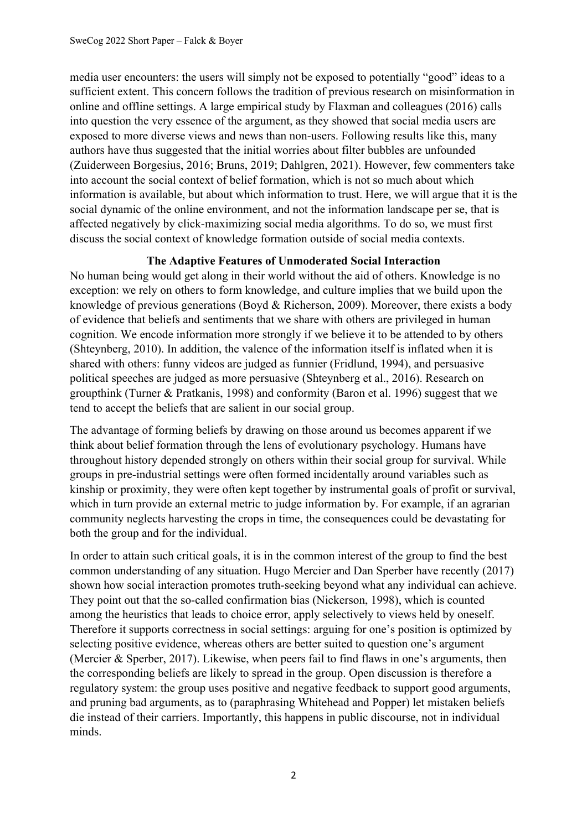media user encounters: the users will simply not be exposed to potentially "good" ideas to a sufficient extent. This concern follows the tradition of previous research on misinformation in online and offline settings. A large empirical study by Flaxman and colleagues (2016) calls into question the very essence of the argument, as they showed that social media users are exposed to more diverse views and news than non-users. Following results like this, many authors have thus suggested that the initial worries about filter bubbles are unfounded (Zuiderween Borgesius, 2016; Bruns, 2019; Dahlgren, 2021). However, few commenters take into account the social context of belief formation, which is not so much about which information is available, but about which information to trust. Here, we will argue that it is the social dynamic of the online environment, and not the information landscape per se, that is affected negatively by click-maximizing social media algorithms. To do so, we must first discuss the social context of knowledge formation outside of social media contexts.

# **The Adaptive Features of Unmoderated Social Interaction**

No human being would get along in their world without the aid of others. Knowledge is no exception: we rely on others to form knowledge, and culture implies that we build upon the knowledge of previous generations (Boyd & Richerson, 2009). Moreover, there exists a body of evidence that beliefs and sentiments that we share with others are privileged in human cognition. We encode information more strongly if we believe it to be attended to by others (Shteynberg, 2010). In addition, the valence of the information itself is inflated when it is shared with others: funny videos are judged as funnier (Fridlund, 1994), and persuasive political speeches are judged as more persuasive (Shteynberg et al., 2016). Research on groupthink (Turner & Pratkanis, 1998) and conformity (Baron et al. 1996) suggest that we tend to accept the beliefs that are salient in our social group.

The advantage of forming beliefs by drawing on those around us becomes apparent if we think about belief formation through the lens of evolutionary psychology. Humans have throughout history depended strongly on others within their social group for survival. While groups in pre-industrial settings were often formed incidentally around variables such as kinship or proximity, they were often kept together by instrumental goals of profit or survival, which in turn provide an external metric to judge information by. For example, if an agrarian community neglects harvesting the crops in time, the consequences could be devastating for both the group and for the individual.

In order to attain such critical goals, it is in the common interest of the group to find the best common understanding of any situation. Hugo Mercier and Dan Sperber have recently (2017) shown how social interaction promotes truth-seeking beyond what any individual can achieve. They point out that the so-called confirmation bias (Nickerson, 1998), which is counted among the heuristics that leads to choice error, apply selectively to views held by oneself. Therefore it supports correctness in social settings: arguing for one's position is optimized by selecting positive evidence, whereas others are better suited to question one's argument (Mercier & Sperber, 2017). Likewise, when peers fail to find flaws in one's arguments, then the corresponding beliefs are likely to spread in the group. Open discussion is therefore a regulatory system: the group uses positive and negative feedback to support good arguments, and pruning bad arguments, as to (paraphrasing Whitehead and Popper) let mistaken beliefs die instead of their carriers. Importantly, this happens in public discourse, not in individual minds.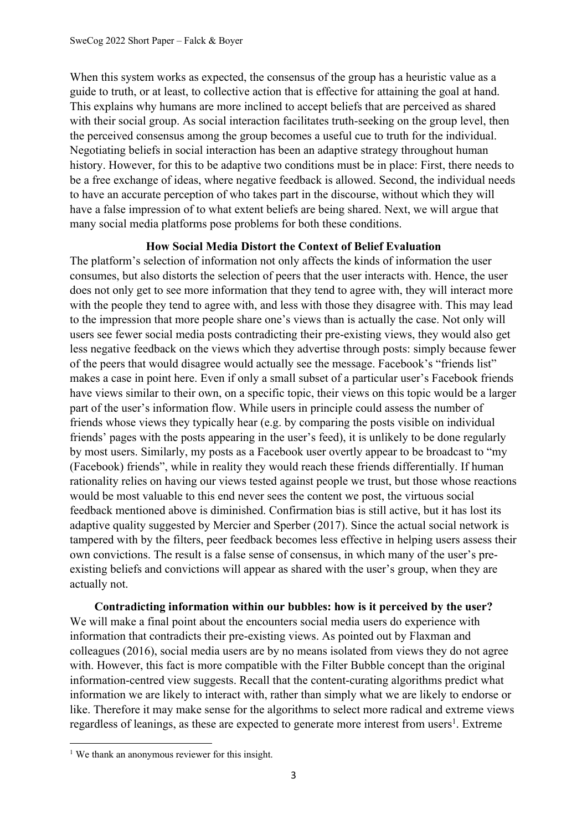When this system works as expected, the consensus of the group has a heuristic value as a guide to truth, or at least, to collective action that is effective for attaining the goal at hand. This explains why humans are more inclined to accept beliefs that are perceived as shared with their social group. As social interaction facilitates truth-seeking on the group level, then the perceived consensus among the group becomes a useful cue to truth for the individual. Negotiating beliefs in social interaction has been an adaptive strategy throughout human history. However, for this to be adaptive two conditions must be in place: First, there needs to be a free exchange of ideas, where negative feedback is allowed. Second, the individual needs to have an accurate perception of who takes part in the discourse, without which they will have a false impression of to what extent beliefs are being shared. Next, we will argue that many social media platforms pose problems for both these conditions.

# **How Social Media Distort the Context of Belief Evaluation**

The platform's selection of information not only affects the kinds of information the user consumes, but also distorts the selection of peers that the user interacts with. Hence, the user does not only get to see more information that they tend to agree with, they will interact more with the people they tend to agree with, and less with those they disagree with. This may lead to the impression that more people share one's views than is actually the case. Not only will users see fewer social media posts contradicting their pre-existing views, they would also get less negative feedback on the views which they advertise through posts: simply because fewer of the peers that would disagree would actually see the message. Facebook's "friends list" makes a case in point here. Even if only a small subset of a particular user's Facebook friends have views similar to their own, on a specific topic, their views on this topic would be a larger part of the user's information flow. While users in principle could assess the number of friends whose views they typically hear (e.g. by comparing the posts visible on individual friends' pages with the posts appearing in the user's feed), it is unlikely to be done regularly by most users. Similarly, my posts as a Facebook user overtly appear to be broadcast to "my (Facebook) friends", while in reality they would reach these friends differentially. If human rationality relies on having our views tested against people we trust, but those whose reactions would be most valuable to this end never sees the content we post, the virtuous social feedback mentioned above is diminished. Confirmation bias is still active, but it has lost its adaptive quality suggested by Mercier and Sperber (2017). Since the actual social network is tampered with by the filters, peer feedback becomes less effective in helping users assess their own convictions. The result is a false sense of consensus, in which many of the user's preexisting beliefs and convictions will appear as shared with the user's group, when they are actually not.

**Contradicting information within our bubbles: how is it perceived by the user?** We will make a final point about the encounters social media users do experience with information that contradicts their pre-existing views. As pointed out by Flaxman and colleagues (2016), social media users are by no means isolated from views they do not agree with. However, this fact is more compatible with the Filter Bubble concept than the original information-centred view suggests. Recall that the content-curating algorithms predict what information we are likely to interact with, rather than simply what we are likely to endorse or like. Therefore it may make sense for the algorithms to select more radical and extreme views regardless of leanings, as these are expected to generate more interest from users<sup>1</sup>. Extreme

<sup>&</sup>lt;sup>1</sup> We thank an anonymous reviewer for this insight.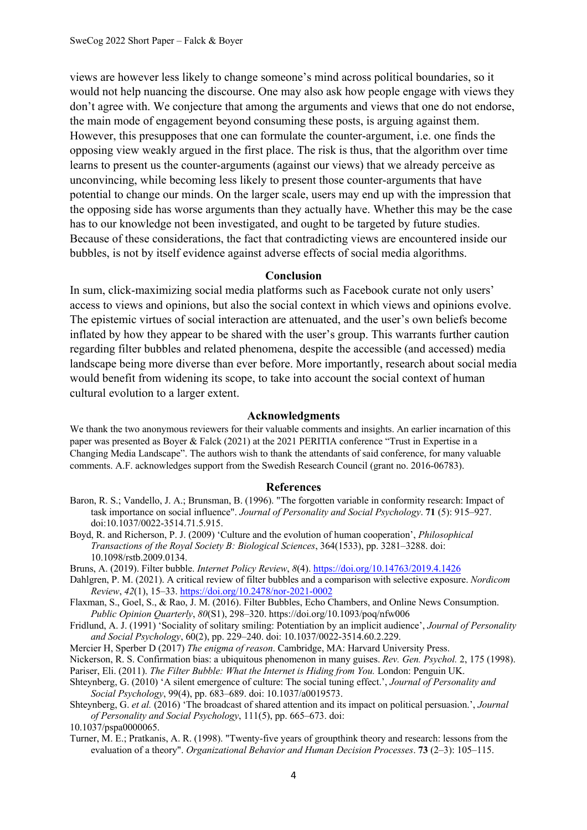views are however less likely to change someone's mind across political boundaries, so it would not help nuancing the discourse. One may also ask how people engage with views they don't agree with. We conjecture that among the arguments and views that one do not endorse, the main mode of engagement beyond consuming these posts, is arguing against them. However, this presupposes that one can formulate the counter-argument, i.e. one finds the opposing view weakly argued in the first place. The risk is thus, that the algorithm over time learns to present us the counter-arguments (against our views) that we already perceive as unconvincing, while becoming less likely to present those counter-arguments that have potential to change our minds. On the larger scale, users may end up with the impression that the opposing side has worse arguments than they actually have. Whether this may be the case has to our knowledge not been investigated, and ought to be targeted by future studies. Because of these considerations, the fact that contradicting views are encountered inside our bubbles, is not by itself evidence against adverse effects of social media algorithms.

### **Conclusion**

In sum, click-maximizing social media platforms such as Facebook curate not only users' access to views and opinions, but also the social context in which views and opinions evolve. The epistemic virtues of social interaction are attenuated, and the user's own beliefs become inflated by how they appear to be shared with the user's group. This warrants further caution regarding filter bubbles and related phenomena, despite the accessible (and accessed) media landscape being more diverse than ever before. More importantly, research about social media would benefit from widening its scope, to take into account the social context of human cultural evolution to a larger extent.

#### **Acknowledgments**

We thank the two anonymous reviewers for their valuable comments and insights. An earlier incarnation of this paper was presented as Boyer & Falck (2021) at the 2021 PERITIA conference "Trust in Expertise in a Changing Media Landscape". The authors wish to thank the attendants of said conference, for many valuable comments. A.F. acknowledges support from the Swedish Research Council (grant no. 2016-06783).

#### **References**

- Baron, R. S.; Vandello, J. A.; Brunsman, B. (1996). "The forgotten variable in conformity research: Impact of task importance on social influence". *Journal of Personality and Social Psychology*. **71** (5): 915–927. doi:10.1037/0022-3514.71.5.915.
- Boyd, R. and Richerson, P. J. (2009) 'Culture and the evolution of human cooperation', *Philosophical Transactions of the Royal Society B: Biological Sciences*, 364(1533), pp. 3281–3288. doi: 10.1098/rstb.2009.0134.
- Bruns, A. (2019). Filter bubble. *Internet Policy Review*, *8*(4). https://doi.org/10.14763/2019.4.1426
- Dahlgren, P. M. (2021). A critical review of filter bubbles and a comparison with selective exposure. *Nordicom Review*, *42*(1), 15–33. https://doi.org/10.2478/nor-2021-0002

Flaxman, S., Goel, S., & Rao, J. M. (2016). Filter Bubbles, Echo Chambers, and Online News Consumption. *Public Opinion Quarterly*, *80*(S1), 298–320. https://doi.org/10.1093/poq/nfw006

Fridlund, A. J. (1991) 'Sociality of solitary smiling: Potentiation by an implicit audience', *Journal of Personality and Social Psychology*, 60(2), pp. 229–240. doi: 10.1037/0022-3514.60.2.229.

Mercier H, Sperber D (2017) *The enigma of reason*. Cambridge, MA: Harvard University Press.

Nickerson, R. S. Confirmation bias: a ubiquitous phenomenon in many guises. *Rev. Gen. Psychol.* 2, 175 (1998).

Pariser, Eli. (2011). *The Filter Bubble: What the Internet is Hiding from You.* London: Penguin UK.

- Shteynberg, G. (2010) 'A silent emergence of culture: The social tuning effect.', *Journal of Personality and Social Psychology*, 99(4), pp. 683–689. doi: 10.1037/a0019573.
- Shteynberg, G. *et al.* (2016) 'The broadcast of shared attention and its impact on political persuasion.', *Journal of Personality and Social Psychology*, 111(5), pp. 665–673. doi:

10.1037/pspa0000065.

Turner, M. E.; Pratkanis, A. R. (1998). "Twenty-five years of groupthink theory and research: lessons from the evaluation of a theory". *Organizational Behavior and Human Decision Processes*. **73** (2–3): 105–115.